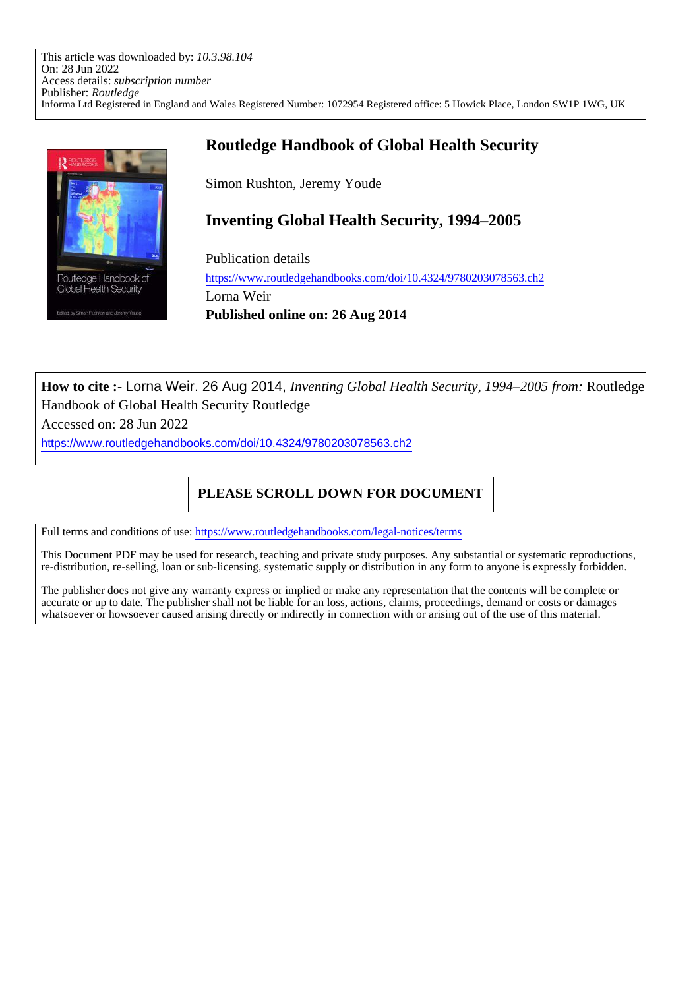This article was downloaded by: *10.3.98.104* On: 28 Jun 2022 Access details: *subscription number* Publisher: *Routledge* Informa Ltd Registered in England and Wales Registered Number: 1072954 Registered office: 5 Howick Place, London SW1P 1WG, UK



# **Routledge Handbook of Global Health Security**

Simon Rushton, Jeremy Youde

# **Inventing Global Health Security, 1994–2005**

Publication details https://www.routledgehandbooks.com/doi/10.4324/9780203078563.ch2 Lorna Weir **Published online on: 26 Aug 2014**

**How to cite :-** Lorna Weir. 26 Aug 2014, *Inventing Global Health Security, 1994–2005 from:* Routledge Handbook of Global Health Security Routledge

Accessed on: 28 Jun 2022

https://www.routledgehandbooks.com/doi/10.4324/9780203078563.ch2

# **PLEASE SCROLL DOWN FOR DOCUMENT**

Full terms and conditions of use: https://www.routledgehandbooks.com/legal-notices/terms

This Document PDF may be used for research, teaching and private study purposes. Any substantial or systematic reproductions, re-distribution, re-selling, loan or sub-licensing, systematic supply or distribution in any form to anyone is expressly forbidden.

The publisher does not give any warranty express or implied or make any representation that the contents will be complete or accurate or up to date. The publisher shall not be liable for an loss, actions, claims, proceedings, demand or costs or damages whatsoever or howsoever caused arising directly or indirectly in connection with or arising out of the use of this material.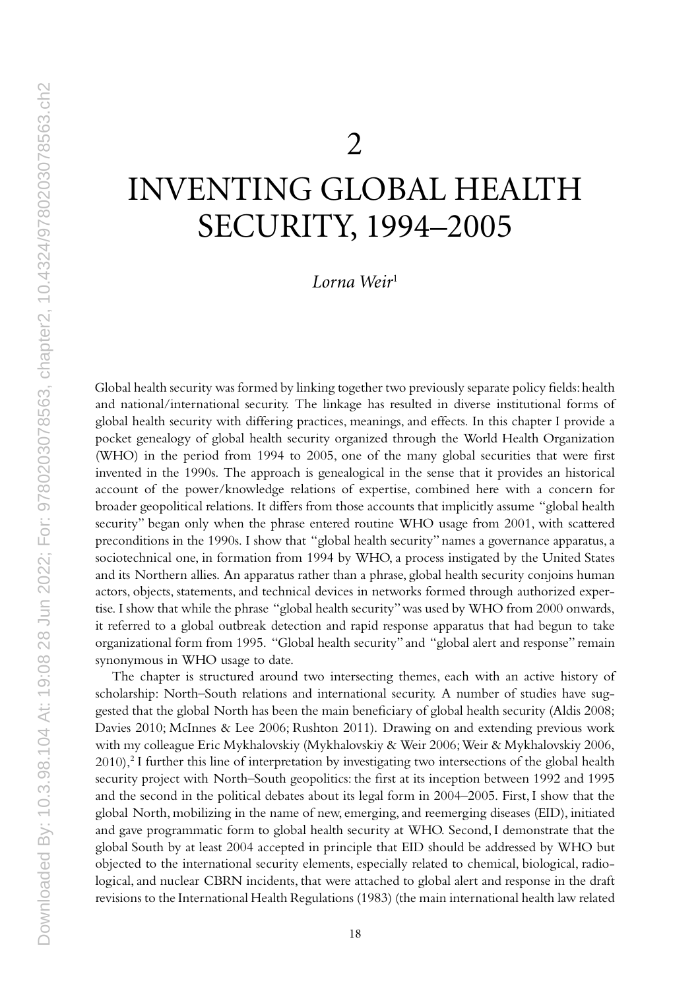# INVENTING GLOBAL HEALTH SECURITY, 1994–2005

# Lorna Weir<sup>1</sup>

Global health security was formed by linking together two previously separate policy fields: health and national/international security. The linkage has resulted in diverse institutional forms of global health security with differing practices, meanings, and effects. In this chapter I provide a pocket genealogy of global health security organized through the World Health Organization (WHO) in the period from 1994 to 2005, one of the many global securities that were first invented in the 1990s. The approach is genealogical in the sense that it provides an historical account of the power/knowledge relations of expertise, combined here with a concern for broader geopolitical relations. It differs from those accounts that implicitly assume "global health security" began only when the phrase entered routine WHO usage from 2001, with scattered preconditions in the 1990s. I show that "global health security" names a governance apparatus, a sociotechnical one, in formation from 1994 by WHO, a process instigated by the United States and its Northern allies. An apparatus rather than a phrase, global health security conjoins human actors, objects, statements, and technical devices in networks formed through authorized expertise. I show that while the phrase "global health security" was used by WHO from 2000 onwards, it referred to a global outbreak detection and rapid response apparatus that had begun to take organizational form from 1995. "Global health security" and "global alert and response" remain synonymous in WHO usage to date.

The chapter is structured around two intersecting themes, each with an active history of scholarship: North–South relations and international security. A number of studies have suggested that the global North has been the main beneficiary of global health security (Aldis 2008; Davies 2010; McInnes & Lee 2006; Rushton 2011). Drawing on and extending previous work with my colleague Eric Mykhalovskiy (Mykhalovskiy & Weir 2006; Weir & Mykhalovskiy 2006,  $2010$ ,  $2 \text{ I}$  further this line of interpretation by investigating two intersections of the global health security project with North–South geopolitics: the first at its inception between 1992 and 1995 and the second in the political debates about its legal form in 2004–2005. First, I show that the global North, mobilizing in the name of new, emerging, and reemerging diseases (EID), initiated and gave programmatic form to global health security at WHO. Second, I demonstrate that the global South by at least 2004 accepted in principle that EID should be addressed by WHO but objected to the international security elements, especially related to chemical, biological, radiological, and nuclear CBRN incidents, that were attached to global alert and response in the draft revisions to the International Health Regulations (1983) (the main international health law related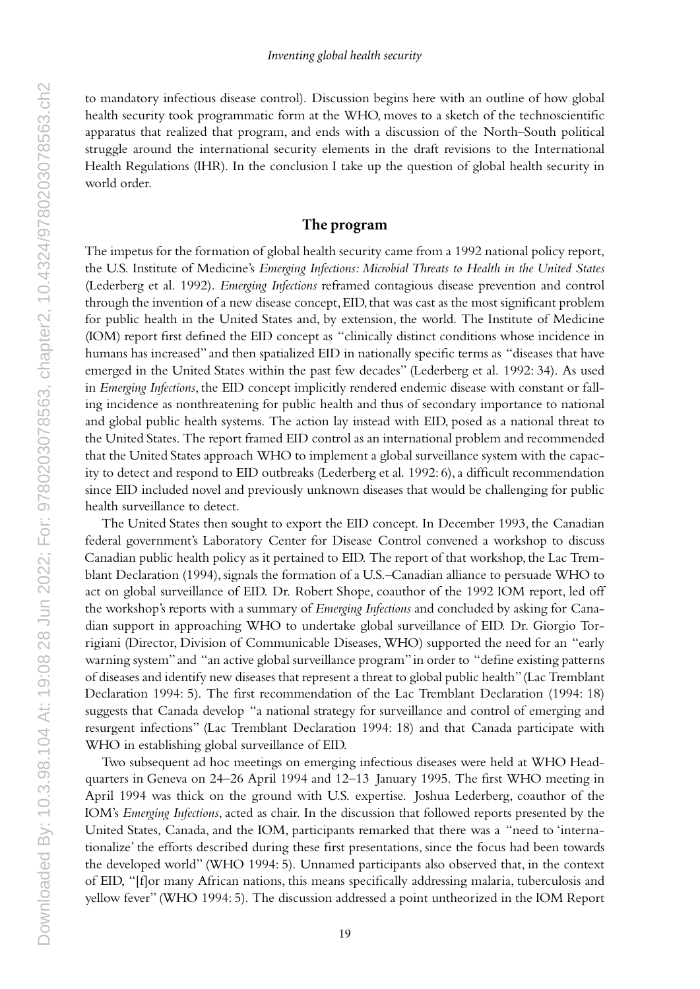to mandatory infectious disease control). Discussion begins here with an outline of how global health security took programmatic form at the WHO, moves to a sketch of the technoscientific apparatus that realized that program, and ends with a discussion of the North–South political struggle around the international security elements in the draft revisions to the International Health Regulations (IHR). In the conclusion I take up the question of global health security in world order.

## **The program**

The impetus for the formation of global health security came from a 1992 national policy report, the U.S. Institute of Medicine's *Emerging Infections: Microbial Threats to Health in the United States* (Lederberg et al. 1992). *Emerging Infections* reframed contagious disease prevention and control through the invention of a new disease concept, EID, that was cast as the most significant problem for public health in the United States and, by extension, the world. The Institute of Medicine (IOM) report first defined the EID concept as "clinically distinct conditions whose incidence in humans has increased" and then spatialized EID in nationally specific terms as "diseases that have emerged in the United States within the past few decades" (Lederberg et al. 1992: 34). As used in *Emerging Infections*, the EID concept implicitly rendered endemic disease with constant or falling incidence as nonthreatening for public health and thus of secondary importance to national and global public health systems. The action lay instead with EID, posed as a national threat to the United States. The report framed EID control as an international problem and recommended that the United States approach WHO to implement a global surveillance system with the capacity to detect and respond to EID outbreaks (Lederberg et al. 1992: 6), a difficult recommendation since EID included novel and previously unknown diseases that would be challenging for public health surveillance to detect.

The United States then sought to export the EID concept. In December 1993, the Canadian federal government's Laboratory Center for Disease Control convened a workshop to discuss Canadian public health policy as it pertained to EID. The report of that workshop, the Lac Tremblant Declaration (1994), signals the formation of a U.S.–Canadian alliance to persuade WHO to act on global surveillance of EID. Dr. Robert Shope, coauthor of the 1992 IOM report, led off the workshop's reports with a summary of *Emerging Infections* and concluded by asking for Canadian support in approaching WHO to undertake global surveillance of EID. Dr. Giorgio Torrigiani (Director, Division of Communicable Diseases, WHO) supported the need for an "early warning system" and "an active global surveillance program" in order to "define existing patterns of diseases and identify new diseases that represent a threat to global public health" (Lac Tremblant Declaration 1994: 5). The first recommendation of the Lac Tremblant Declaration (1994: 18) suggests that Canada develop "a national strategy for surveillance and control of emerging and resurgent infections" (Lac Tremblant Declaration 1994: 18) and that Canada participate with WHO in establishing global surveillance of EID.

Two subsequent ad hoc meetings on emerging infectious diseases were held at WHO Headquarters in Geneva on 24–26 April 1994 and 12–13 January 1995. The first WHO meeting in April 1994 was thick on the ground with U.S. expertise. Joshua Lederberg, coauthor of the IOM's *Emerging Infections*, acted as chair. In the discussion that followed reports presented by the United States, Canada, and the IOM, participants remarked that there was a "need to 'internationalize' the efforts described during these first presentations, since the focus had been towards the developed world" (WHO 1994: 5). Unnamed participants also observed that, in the context of EID, "[f]or many African nations, this means specifically addressing malaria, tuberculosis and yellow fever" (WHO 1994: 5). The discussion addressed a point untheorized in the IOM Report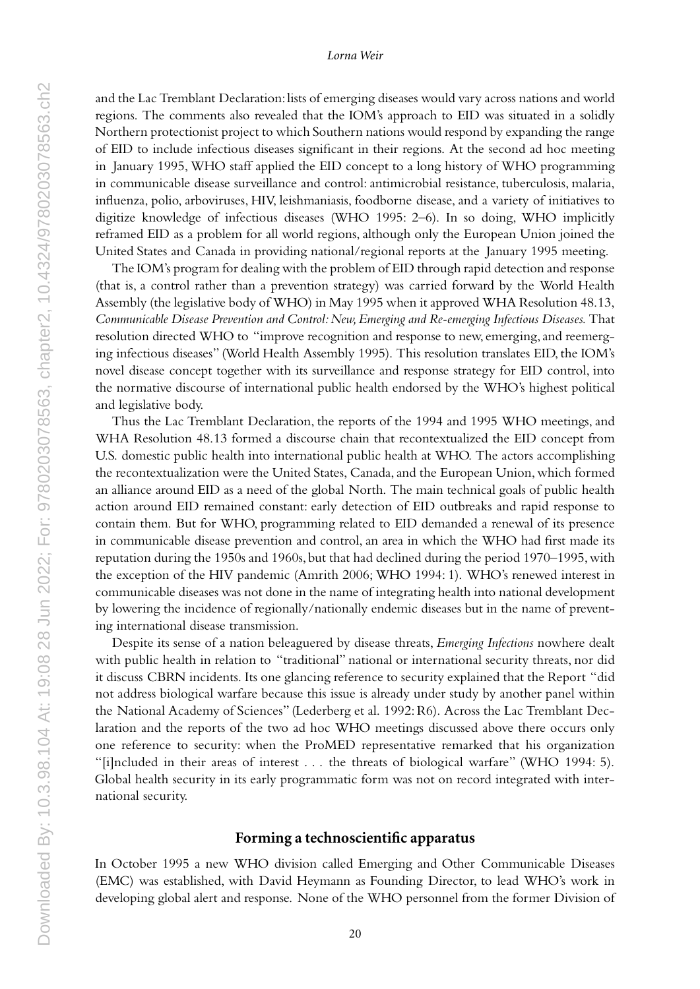and the Lac Tremblant Declaration: lists of emerging diseases would vary across nations and world regions. The comments also revealed that the IOM's approach to EID was situated in a solidly Northern protectionist project to which Southern nations would respond by expanding the range of EID to include infectious diseases significant in their regions. At the second ad hoc meeting in January 1995, WHO staff applied the EID concept to a long history of WHO programming in communicable disease surveillance and control: antimicrobial resistance, tuberculosis, malaria, influenza, polio, arboviruses, HIV, leishmaniasis, foodborne disease, and a variety of initiatives to digitize knowledge of infectious diseases (WHO 1995: 2–6). In so doing, WHO implicitly reframed EID as a problem for all world regions, although only the European Union joined the United States and Canada in providing national/regional reports at the January 1995 meeting.

The IOM's program for dealing with the problem of EID through rapid detection and response (that is, a control rather than a prevention strategy) was carried forward by the World Health Assembly (the legislative body of WHO) in May 1995 when it approved WHA Resolution 48.13, *Communicable Disease Prevention and Control: New, Emerging and Re-emerging Infectious Diseases.* That resolution directed WHO to "improve recognition and response to new, emerging, and reemerging infectious diseases" (World Health Assembly 1995). This resolution translates EID, the IOM's novel disease concept together with its surveillance and response strategy for EID control, into the normative discourse of international public health endorsed by the WHO's highest political and legislative body.

Thus the Lac Tremblant Declaration, the reports of the 1994 and 1995 WHO meetings, and WHA Resolution 48.13 formed a discourse chain that recontextualized the EID concept from U.S. domestic public health into international public health at WHO. The actors accomplishing the recontextualization were the United States, Canada, and the European Union, which formed an alliance around EID as a need of the global North. The main technical goals of public health action around EID remained constant: early detection of EID outbreaks and rapid response to contain them. But for WHO, programming related to EID demanded a renewal of its presence in communicable disease prevention and control, an area in which the WHO had first made its reputation during the 1950s and 1960s, but that had declined during the period 1970–1995, with the exception of the HIV pandemic (Amrith 2006; WHO 1994: 1). WHO's renewed interest in communicable diseases was not done in the name of integrating health into national development by lowering the incidence of regionally/nationally endemic diseases but in the name of preventing international disease transmission.

Despite its sense of a nation beleaguered by disease threats, *Emerging Infections* nowhere dealt with public health in relation to "traditional" national or international security threats, nor did it discuss CBRN incidents. Its one glancing reference to security explained that the Report "did not address biological warfare because this issue is already under study by another panel within the National Academy of Sciences" (Lederberg et al. 1992: R6). Across the Lac Tremblant Declaration and the reports of the two ad hoc WHO meetings discussed above there occurs only one reference to security: when the ProMED representative remarked that his organization "[i]ncluded in their areas of interest . . . the threats of biological warfare" (WHO 1994: 5). Global health security in its early programmatic form was not on record integrated with international security.

## Forming a technoscientific apparatus

In October 1995 a new WHO division called Emerging and Other Communicable Diseases (EMC) was established, with David Heymann as Founding Director, to lead WHO's work in developing global alert and response. None of the WHO personnel from the former Division of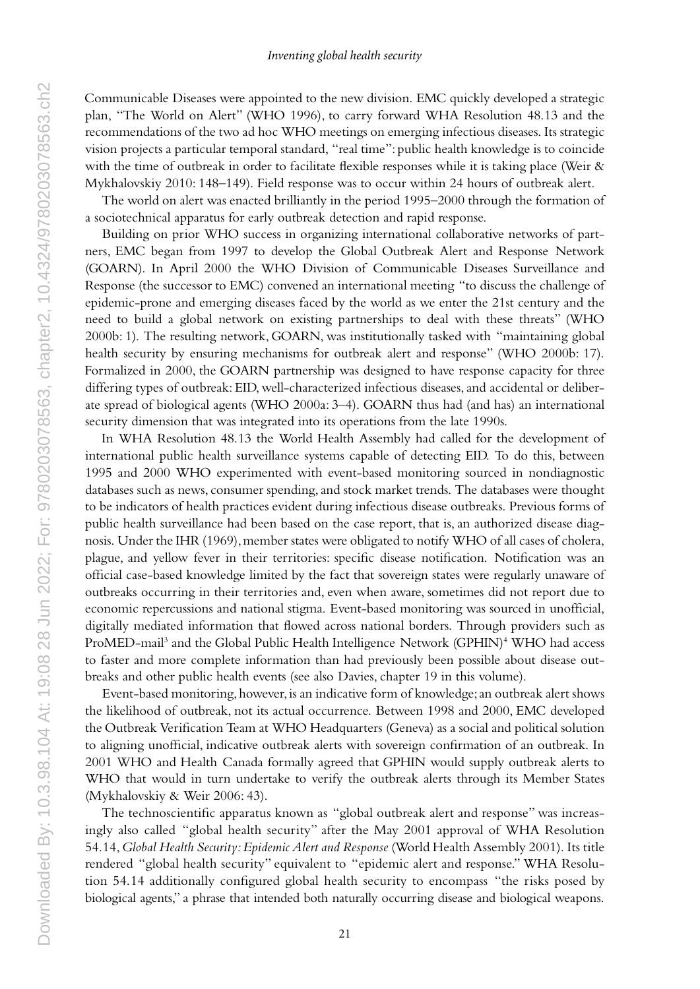Communicable Diseases were appointed to the new division. EMC quickly developed a strategic plan, "The World on Alert" (WHO 1996), to carry forward WHA Resolution 48.13 and the recommendations of the two ad hoc WHO meetings on emerging infectious diseases. Its strategic vision projects a particular temporal standard, "real time": public health knowledge is to coincide with the time of outbreak in order to facilitate flexible responses while it is taking place (Weir & Mykhalovskiy 2010: 148–149). Field response was to occur within 24 hours of outbreak alert.

The world on alert was enacted brilliantly in the period 1995–2000 through the formation of a sociotechnical apparatus for early outbreak detection and rapid response.

Building on prior WHO success in organizing international collaborative networks of partners, EMC began from 1997 to develop the Global Outbreak Alert and Response Network (GOARN). In April 2000 the WHO Division of Communicable Diseases Surveillance and Response (the successor to EMC) convened an international meeting "to discuss the challenge of epidemic-prone and emerging diseases faced by the world as we enter the 21st century and the need to build a global network on existing partnerships to deal with these threats" (WHO 2000b: 1). The resulting network, GOARN, was institutionally tasked with "maintaining global health security by ensuring mechanisms for outbreak alert and response" (WHO 2000b: 17). Formalized in 2000, the GOARN partnership was designed to have response capacity for three differing types of outbreak: EID, well-characterized infectious diseases, and accidental or deliberate spread of biological agents (WHO 2000a: 3–4). GOARN thus had (and has) an international security dimension that was integrated into its operations from the late 1990s.

In WHA Resolution 48.13 the World Health Assembly had called for the development of international public health surveillance systems capable of detecting EID. To do this, between 1995 and 2000 WHO experimented with event-based monitoring sourced in nondiagnostic databases such as news, consumer spending, and stock market trends. The databases were thought to be indicators of health practices evident during infectious disease outbreaks. Previous forms of public health surveillance had been based on the case report, that is, an authorized disease diagnosis. Under the IHR (1969), member states were obligated to notify WHO of all cases of cholera, plague, and yellow fever in their territories: specific disease notification. Notification was an official case-based knowledge limited by the fact that sovereign states were regularly unaware of outbreaks occurring in their territories and, even when aware, sometimes did not report due to economic repercussions and national stigma. Event-based monitoring was sourced in unofficial, digitally mediated information that flowed across national borders. Through providers such as ProMED-mail<sup>3</sup> and the Global Public Health Intelligence Network (GPHIN)<sup>4</sup> WHO had access to faster and more complete information than had previously been possible about disease outbreaks and other public health events (see also Davies, chapter 19 in this volume).

Event-based monitoring, however, is an indicative form of knowledge; an outbreak alert shows the likelihood of outbreak, not its actual occurrence. Between 1998 and 2000, EMC developed the Outbreak Verification Team at WHO Headquarters (Geneva) as a social and political solution to aligning unofficial, indicative outbreak alerts with sovereign confirmation of an outbreak. In 2001 WHO and Health Canada formally agreed that GPHIN would supply outbreak alerts to WHO that would in turn undertake to verify the outbreak alerts through its Member States (Mykhalovskiy & Weir 2006: 43).

The technoscientific apparatus known as "global outbreak alert and response" was increasingly also called "global health security" after the May 2001 approval of WHA Resolution 54.14, *Global Health Security: Epidemic Alert and Response* (World Health Assembly 2001). Its title rendered "global health security" equivalent to "epidemic alert and response." WHA Resolution 54.14 additionally configured global health security to encompass "the risks posed by biological agents," a phrase that intended both naturally occurring disease and biological weapons.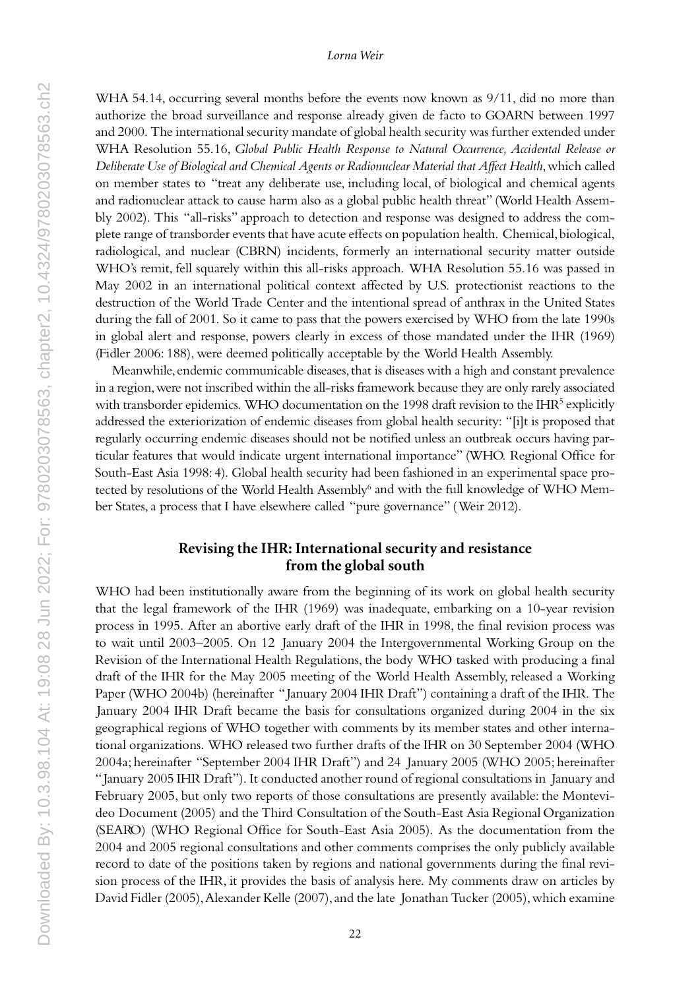WHA 54.14, occurring several months before the events now known as 9/11, did no more than authorize the broad surveillance and response already given de facto to GOARN between 1997 and 2000. The international security mandate of global health security was further extended under WHA Resolution 55.16, *Global Public Health Response to Natural Occurrence, Accidental Release or Deliberate Use of Biological and Chemical Agents or Radionuclear Material that Affect Health*, which called on member states to "treat any deliberate use, including local, of biological and chemical agents and radionuclear attack to cause harm also as a global public health threat" (World Health Assembly 2002). This "all-risks" approach to detection and response was designed to address the complete range of transborder events that have acute effects on population health. Chemical, biological, radiological, and nuclear (CBRN) incidents, formerly an international security matter outside WHO's remit, fell squarely within this all-risks approach. WHA Resolution 55.16 was passed in May 2002 in an international political context affected by U.S. protectionist reactions to the destruction of the World Trade Center and the intentional spread of anthrax in the United States during the fall of 2001. So it came to pass that the powers exercised by WHO from the late 1990s in global alert and response, powers clearly in excess of those mandated under the IHR (1969) (Fidler 2006: 188), were deemed politically acceptable by the World Health Assembly.

Meanwhile, endemic communicable diseases, that is diseases with a high and constant prevalence in a region, were not inscribed within the all-risks framework because they are only rarely associated with transborder epidemics. WHO documentation on the 1998 draft revision to the IHR<sup>5</sup> explicitly addressed the exteriorization of endemic diseases from global health security: "[i]t is proposed that regularly occurring endemic diseases should not be notified unless an outbreak occurs having particular features that would indicate urgent international importance" (WHO. Regional Office for South-East Asia 1998: 4). Global health security had been fashioned in an experimental space protected by resolutions of the World Health Assembly<sup>6</sup> and with the full knowledge of WHO Member States, a process that I have elsewhere called "pure governance" ( Weir 2012).

# **Revising the IHR: International security and resistance from the global south**

WHO had been institutionally aware from the beginning of its work on global health security that the legal framework of the IHR (1969) was inadequate, embarking on a 10-year revision process in 1995. After an abortive early draft of the IHR in 1998, the final revision process was to wait until 2003–2005. On 12 January 2004 the Intergovernmental Working Group on the Revision of the International Health Regulations, the body WHO tasked with producing a final draft of the IHR for the May 2005 meeting of the World Health Assembly, released a Working Paper (WHO 2004b) (hereinafter "January 2004 IHR Draft") containing a draft of the IHR. The January 2004 IHR Draft became the basis for consultations organized during 2004 in the six geographical regions of WHO together with comments by its member states and other international organizations. WHO released two further drafts of the IHR on 30 September 2004 (WHO 2004a; hereinafter "September 2004 IHR Draft") and 24 January 2005 (WHO 2005; hereinafter "January 2005 IHR Draft"). It conducted another round of regional consultations in January and February 2005, but only two reports of those consultations are presently available: the Montevideo Document (2005) and the Third Consultation of the South-East Asia Regional Organization (SEARO) (WHO Regional Office for South-East Asia 2005). As the documentation from the 2004 and 2005 regional consultations and other comments comprises the only publicly available record to date of the positions taken by regions and national governments during the final revision process of the IHR, it provides the basis of analysis here. My comments draw on articles by David Fidler (2005), Alexander Kelle (2007), and the late Jonathan Tucker (2005), which examine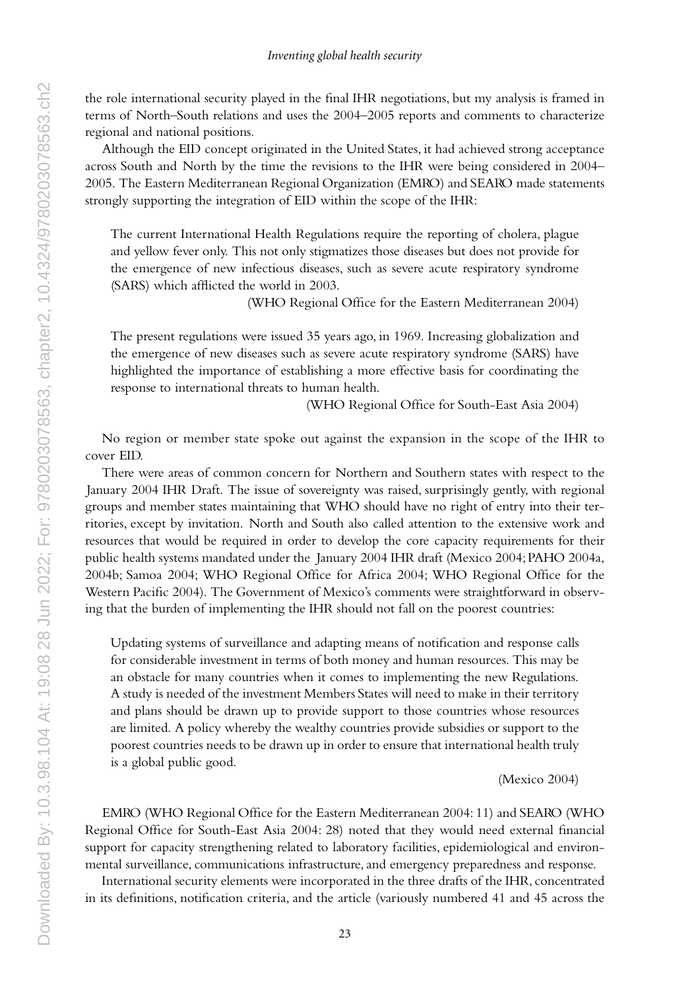the role international security played in the final IHR negotiations, but my analysis is framed in terms of North–South relations and uses the 2004–2005 reports and comments to characterize regional and national positions.

Although the EID concept originated in the United States, it had achieved strong acceptance across South and North by the time the revisions to the IHR were being considered in 2004– 2005. The Eastern Mediterranean Regional Organization (EMRO) and SEARO made statements strongly supporting the integration of EID within the scope of the IHR:

The current International Health Regulations require the reporting of cholera, plague and yellow fever only. This not only stigmatizes those diseases but does not provide for the emergence of new infectious diseases, such as severe acute respiratory syndrome (SARS) which afflicted the world in 2003.

(WHO Regional Office for the Eastern Mediterranean 2004)

The present regulations were issued 35 years ago, in 1969. Increasing globalization and the emergence of new diseases such as severe acute respiratory syndrome (SARS) have highlighted the importance of establishing a more effective basis for coordinating the response to international threats to human health.

(WHO Regional Office for South-East Asia 2004)

No region or member state spoke out against the expansion in the scope of the IHR to cover EID.

There were areas of common concern for Northern and Southern states with respect to the January 2004 IHR Draft. The issue of sovereignty was raised, surprisingly gently, with regional groups and member states maintaining that WHO should have no right of entry into their territories, except by invitation. North and South also called attention to the extensive work and resources that would be required in order to develop the core capacity requirements for their public health systems mandated under the January 2004 IHR draft (Mexico 2004; PAHO 2004a, 2004b; Samoa 2004; WHO Regional Office for Africa 2004; WHO Regional Office for the Western Pacific 2004). The Government of Mexico's comments were straightforward in observing that the burden of implementing the IHR should not fall on the poorest countries:

Updating systems of surveillance and adapting means of notification and response calls for considerable investment in terms of both money and human resources. This may be an obstacle for many countries when it comes to implementing the new Regulations. A study is needed of the investment Members States will need to make in their territory and plans should be drawn up to provide support to those countries whose resources are limited. A policy whereby the wealthy countries provide subsidies or support to the poorest countries needs to be drawn up in order to ensure that international health truly is a global public good.

(Mexico 2004)

EMRO (WHO Regional Office for the Eastern Mediterranean 2004: 11) and SEARO (WHO Regional Office for South-East Asia 2004: 28) noted that they would need external financial support for capacity strengthening related to laboratory facilities, epidemiological and environmental surveillance, communications infrastructure, and emergency preparedness and response.

International security elements were incorporated in the three drafts of the IHR, concentrated in its definitions, notification criteria, and the article (variously numbered 41 and 45 across the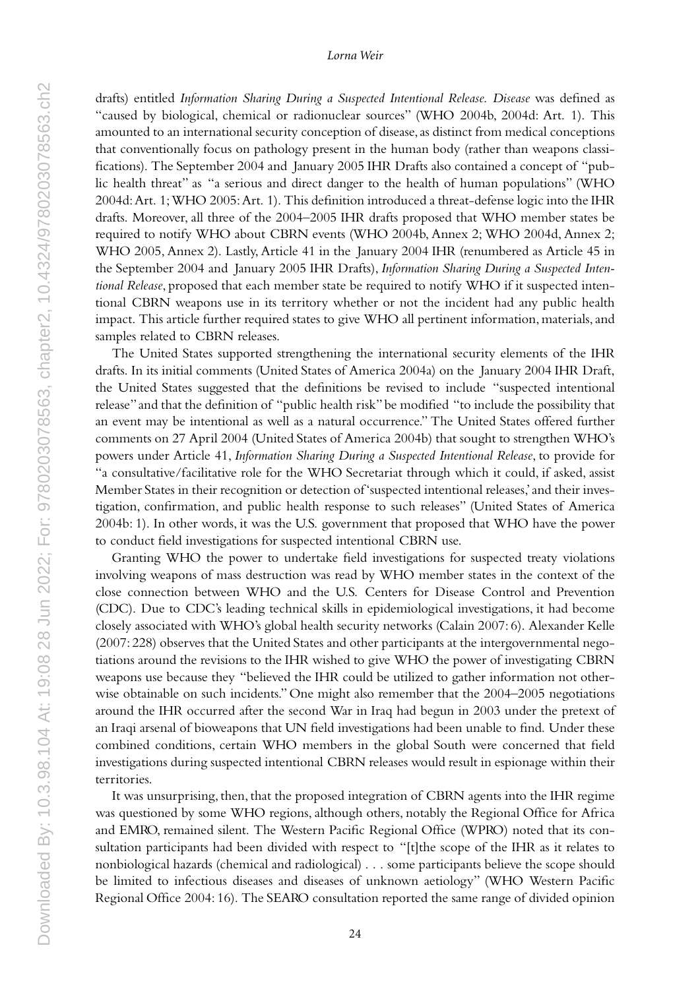#### *Lorna Weir*

drafts) entitled *Information Sharing During a Suspected Intentional Release*. *Disease* was defined as "caused by biological, chemical or radionuclear sources" (WHO 2004b, 2004d: Art. 1). This amounted to an international security conception of disease, as distinct from medical conceptions that conventionally focus on pathology present in the human body (rather than weapons classifications). The September 2004 and January 2005 IHR Drafts also contained a concept of "public health threat" as "a serious and direct danger to the health of human populations" (WHO 2004d: Art. 1; WHO 2005: Art. 1). This definition introduced a threat-defense logic into the IHR drafts. Moreover, all three of the 2004–2005 IHR drafts proposed that WHO member states be required to notify WHO about CBRN events (WHO 2004b, Annex 2; WHO 2004d, Annex 2; WHO 2005, Annex 2). Lastly, Article 41 in the January 2004 IHR (renumbered as Article 45 in the September 2004 and January 2005 IHR Drafts), *Information Sharing During a Suspected Intentional Release*, proposed that each member state be required to notify WHO if it suspected intentional CBRN weapons use in its territory whether or not the incident had any public health impact. This article further required states to give WHO all pertinent information, materials, and samples related to CBRN releases.

The United States supported strengthening the international security elements of the IHR drafts. In its initial comments (United States of America 2004a) on the January 2004 IHR Draft, the United States suggested that the definitions be revised to include "suspected intentional release" and that the definition of "public health risk" be modified "to include the possibility that an event may be intentional as well as a natural occurrence." The United States offered further comments on 27 April 2004 (United States of America 2004b) that sought to strengthen WHO's powers under Article 41, *Information Sharing During a Suspected Intentional Release*, to provide for "a consultative/facilitative role for the WHO Secretariat through which it could, if asked, assist Member States in their recognition or detection of 'suspected intentional releases,' and their investigation, confirmation, and public health response to such releases" (United States of America 2004b: 1). In other words, it was the U.S. government that proposed that WHO have the power to conduct field investigations for suspected intentional CBRN use.

Granting WHO the power to undertake field investigations for suspected treaty violations involving weapons of mass destruction was read by WHO member states in the context of the close connection between WHO and the U.S. Centers for Disease Control and Prevention (CDC). Due to CDC's leading technical skills in epidemiological investigations, it had become closely associated with WHO's global health security networks (Calain 2007: 6). Alexander Kelle (2007: 228) observes that the United States and other participants at the intergovernmental negotiations around the revisions to the IHR wished to give WHO the power of investigating CBRN weapons use because they "believed the IHR could be utilized to gather information not otherwise obtainable on such incidents." One might also remember that the 2004–2005 negotiations around the IHR occurred after the second War in Iraq had begun in 2003 under the pretext of an Iraqi arsenal of bioweapons that UN field investigations had been unable to find. Under these combined conditions, certain WHO members in the global South were concerned that field investigations during suspected intentional CBRN releases would result in espionage within their territories.

It was unsurprising, then, that the proposed integration of CBRN agents into the IHR regime was questioned by some WHO regions, although others, notably the Regional Office for Africa and EMRO, remained silent. The Western Pacific Regional Office (WPRO) noted that its consultation participants had been divided with respect to "[t]the scope of the IHR as it relates to nonbiological hazards (chemical and radiological) . . . some participants believe the scope should be limited to infectious diseases and diseases of unknown aetiology" (WHO Western Pacific Regional Office 2004: 16). The SEARO consultation reported the same range of divided opinion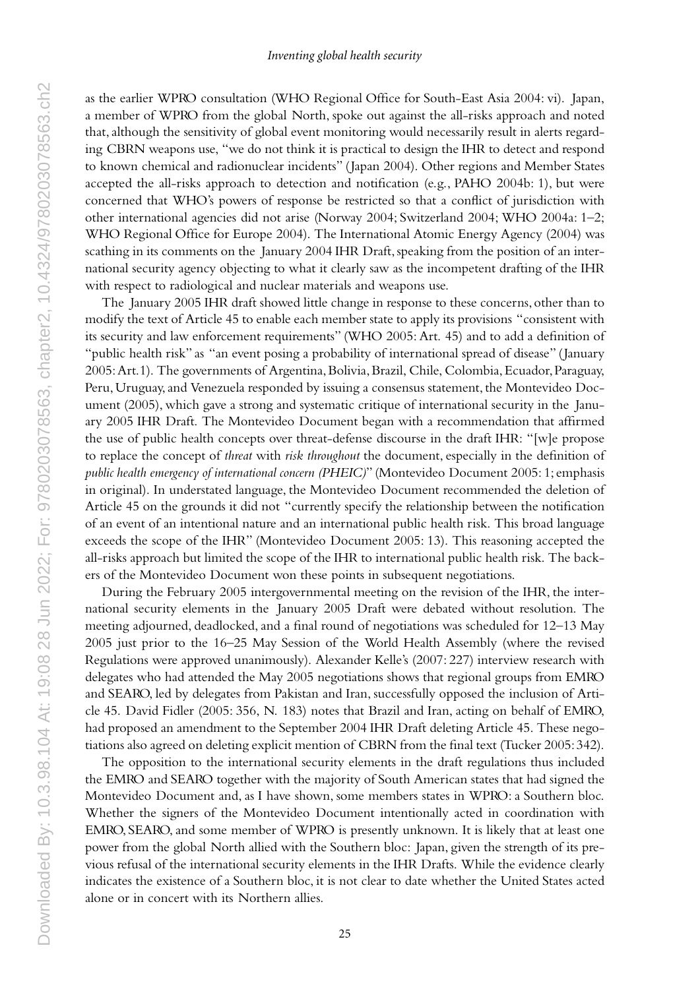as the earlier WPRO consultation (WHO Regional Office for South-East Asia 2004: vi). Japan, a member of WPRO from the global North, spoke out against the all-risks approach and noted that, although the sensitivity of global event monitoring would necessarily result in alerts regarding CBRN weapons use, "we do not think it is practical to design the IHR to detect and respond to known chemical and radionuclear incidents" (Japan 2004). Other regions and Member States accepted the all-risks approach to detection and notification (e.g., PAHO 2004b: 1), but were concerned that WHO's powers of response be restricted so that a conflict of jurisdiction with other international agencies did not arise (Norway 2004; Switzerland 2004; WHO 2004a: 1–2; WHO Regional Office for Europe 2004). The International Atomic Energy Agency (2004) was scathing in its comments on the January 2004 IHR Draft, speaking from the position of an international security agency objecting to what it clearly saw as the incompetent drafting of the IHR with respect to radiological and nuclear materials and weapons use.

The January 2005 IHR draft showed little change in response to these concerns, other than to modify the text of Article 45 to enable each member state to apply its provisions "consistent with its security and law enforcement requirements" (WHO 2005: Art. 45) and to add a definition of "public health risk" as "an event posing a probability of international spread of disease" (January 2005: Art.1). The governments of Argentina, Bolivia, Brazil, Chile, Colombia, Ecuador, Paraguay, Peru, Uruguay, and Venezuela responded by issuing a consensus statement, the Montevideo Document (2005), which gave a strong and systematic critique of international security in the January 2005 IHR Draft. The Montevideo Document began with a recommendation that affirmed the use of public health concepts over threat-defense discourse in the draft IHR: "[w]e propose to replace the concept of *threat* with *risk throughout* the document, especially in the definition of *public health emergency of international concern (PHEIC)*" (Montevideo Document 2005: 1; emphasis in original). In understated language, the Montevideo Document recommended the deletion of Article 45 on the grounds it did not "currently specify the relationship between the notification of an event of an intentional nature and an international public health risk. This broad language exceeds the scope of the IHR" (Montevideo Document 2005: 13). This reasoning accepted the all-risks approach but limited the scope of the IHR to international public health risk. The backers of the Montevideo Document won these points in subsequent negotiations.

During the February 2005 intergovernmental meeting on the revision of the IHR, the international security elements in the January 2005 Draft were debated without resolution. The meeting adjourned, deadlocked, and a final round of negotiations was scheduled for 12–13 May 2005 just prior to the 16–25 May Session of the World Health Assembly (where the revised Regulations were approved unanimously). Alexander Kelle's (2007: 227) interview research with delegates who had attended the May 2005 negotiations shows that regional groups from EMRO and SEARO, led by delegates from Pakistan and Iran, successfully opposed the inclusion of Article 45. David Fidler (2005: 356, N. 183) notes that Brazil and Iran, acting on behalf of EMRO, had proposed an amendment to the September 2004 IHR Draft deleting Article 45. These negotiations also agreed on deleting explicit mention of CBRN from the final text (Tucker 2005: 342).

The opposition to the international security elements in the draft regulations thus included the EMRO and SEARO together with the majority of South American states that had signed the Montevideo Document and, as I have shown, some members states in WPRO: a Southern bloc. Whether the signers of the Montevideo Document intentionally acted in coordination with EMRO, SEARO, and some member of WPRO is presently unknown. It is likely that at least one power from the global North allied with the Southern bloc: Japan, given the strength of its previous refusal of the international security elements in the IHR Drafts. While the evidence clearly indicates the existence of a Southern bloc, it is not clear to date whether the United States acted alone or in concert with its Northern allies.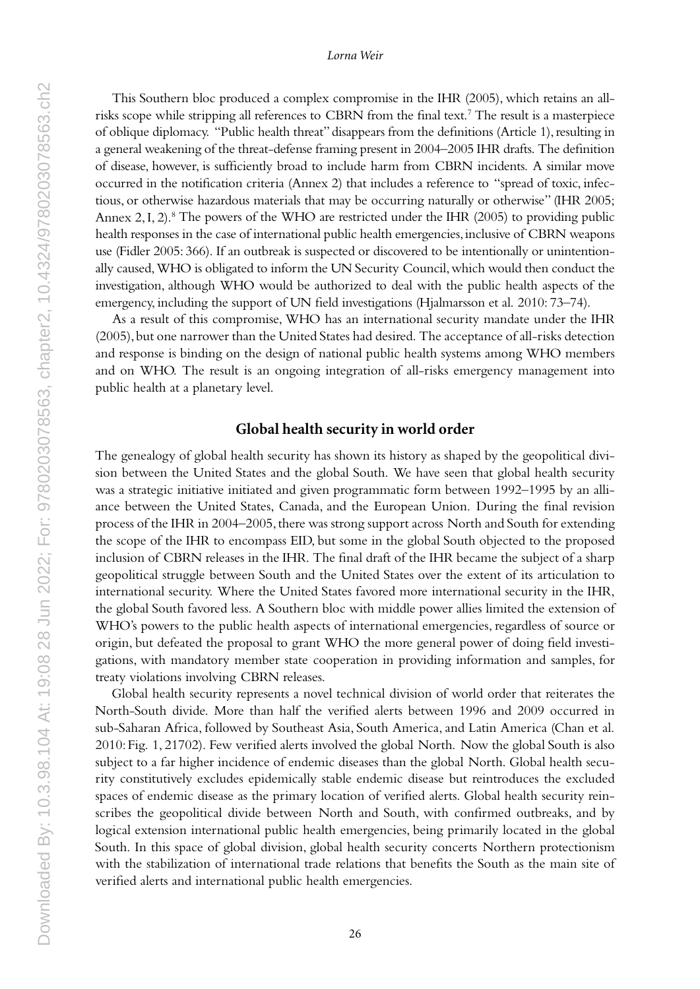#### *Lorna Weir*

This Southern bloc produced a complex compromise in the IHR (2005), which retains an allrisks scope while stripping all references to CBRN from the final text.<sup>7</sup> The result is a masterpiece of oblique diplomacy. "Public health threat" disappears from the definitions (Article 1), resulting in a general weakening of the threat-defense framing present in 2004–2005 IHR drafts. The definition of disease, however, is sufficiently broad to include harm from CBRN incidents. A similar move occurred in the notification criteria (Annex 2) that includes a reference to "spread of toxic, infectious, or otherwise hazardous materials that may be occurring naturally or otherwise" (IHR 2005; Annex 2, I, 2).<sup>8</sup> The powers of the WHO are restricted under the IHR (2005) to providing public health responses in the case of international public health emergencies, inclusive of CBRN weapons use (Fidler 2005: 366). If an outbreak is suspected or discovered to be intentionally or unintentionally caused, WHO is obligated to inform the UN Security Council, which would then conduct the investigation, although WHO would be authorized to deal with the public health aspects of the emergency, including the support of UN field investigations (Hialmarsson et al. 2010: 73–74).

As a result of this compromise, WHO has an international security mandate under the IHR (2005), but one narrower than the United States had desired. The acceptance of all-risks detection and response is binding on the design of national public health systems among WHO members and on WHO. The result is an ongoing integration of all-risks emergency management into public health at a planetary level.

### **Global health security in world order**

The genealogy of global health security has shown its history as shaped by the geopolitical division between the United States and the global South. We have seen that global health security was a strategic initiative initiated and given programmatic form between 1992–1995 by an alliance between the United States, Canada, and the European Union. During the final revision process of the IHR in 2004–2005, there was strong support across North and South for extending the scope of the IHR to encompass EID, but some in the global South objected to the proposed inclusion of CBRN releases in the IHR. The final draft of the IHR became the subject of a sharp geopolitical struggle between South and the United States over the extent of its articulation to international security. Where the United States favored more international security in the IHR, the global South favored less. A Southern bloc with middle power allies limited the extension of WHO's powers to the public health aspects of international emergencies, regardless of source or origin, but defeated the proposal to grant WHO the more general power of doing field investigations, with mandatory member state cooperation in providing information and samples, for treaty violations involving CBRN releases.

Global health security represents a novel technical division of world order that reiterates the North-South divide. More than half the verified alerts between 1996 and 2009 occurred in sub-Saharan Africa, followed by Southeast Asia, South America, and Latin America (Chan et al. 2010: Fig. 1, 21702). Few verified alerts involved the global North. Now the global South is also subject to a far higher incidence of endemic diseases than the global North. Global health security constitutively excludes epidemically stable endemic disease but reintroduces the excluded spaces of endemic disease as the primary location of verified alerts. Global health security reinscribes the geopolitical divide between North and South, with confirmed outbreaks, and by logical extension international public health emergencies, being primarily located in the global South. In this space of global division, global health security concerts Northern protectionism with the stabilization of international trade relations that benefits the South as the main site of verified alerts and international public health emergencies.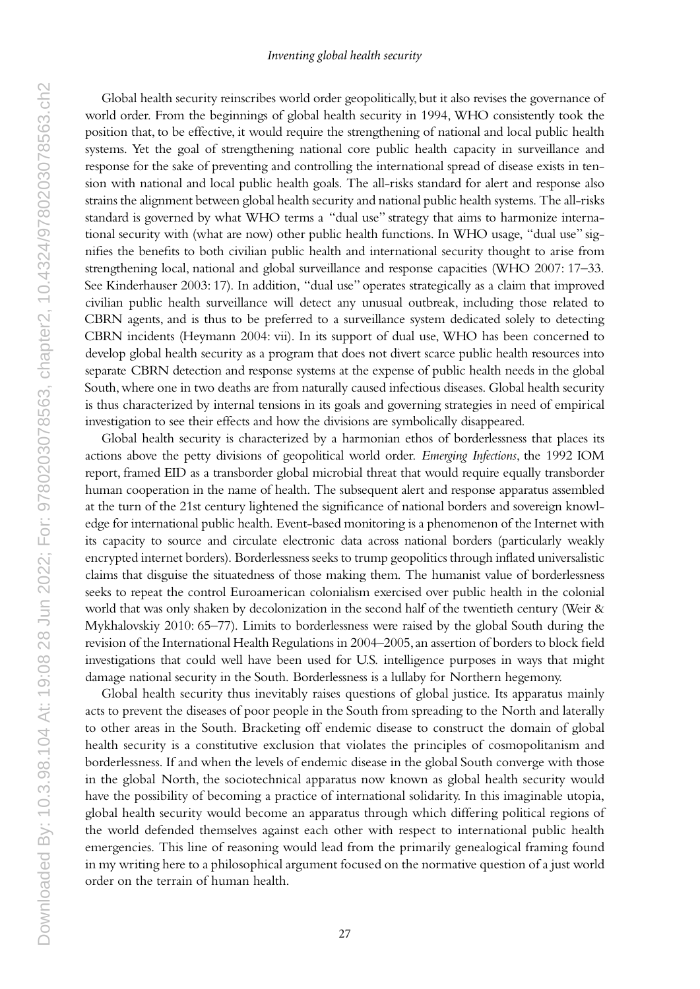#### *Inventing global health security*

Global health security reinscribes world order geopolitically, but it also revises the governance of world order. From the beginnings of global health security in 1994, WHO consistently took the position that, to be effective, it would require the strengthening of national and local public health systems. Yet the goal of strengthening national core public health capacity in surveillance and response for the sake of preventing and controlling the international spread of disease exists in tension with national and local public health goals. The all-risks standard for alert and response also strains the alignment between global health security and national public health systems. The all-risks standard is governed by what WHO terms a "dual use" strategy that aims to harmonize international security with (what are now) other public health functions. In WHO usage, "dual use" signifies the benefits to both civilian public health and international security thought to arise from strengthening local, national and global surveillance and response capacities (WHO 2007: 17–33. See Kinderhauser 2003: 17). In addition, "dual use" operates strategically as a claim that improved civilian public health surveillance will detect any unusual outbreak, including those related to CBRN agents, and is thus to be preferred to a surveillance system dedicated solely to detecting CBRN incidents (Heymann 2004: vii). In its support of dual use, WHO has been concerned to develop global health security as a program that does not divert scarce public health resources into separate CBRN detection and response systems at the expense of public health needs in the global South, where one in two deaths are from naturally caused infectious diseases. Global health security is thus characterized by internal tensions in its goals and governing strategies in need of empirical investigation to see their effects and how the divisions are symbolically disappeared.

Global health security is characterized by a harmonian ethos of borderlessness that places its actions above the petty divisions of geopolitical world order. *Emerging Infections*, the 1992 IOM report, framed EID as a transborder global microbial threat that would require equally transborder human cooperation in the name of health. The subsequent alert and response apparatus assembled at the turn of the 21st century lightened the significance of national borders and sovereign knowledge for international public health. Event-based monitoring is a phenomenon of the Internet with its capacity to source and circulate electronic data across national borders (particularly weakly encrypted internet borders). Borderlessness seeks to trump geopolitics through inflated universalistic claims that disguise the situatedness of those making them. The humanist value of borderlessness seeks to repeat the control Euroamerican colonialism exercised over public health in the colonial world that was only shaken by decolonization in the second half of the twentieth century (Weir & Mykhalovskiy 2010: 65–77). Limits to borderlessness were raised by the global South during the revision of the International Health Regulations in 2004–2005, an assertion of borders to block field investigations that could well have been used for U.S. intelligence purposes in ways that might damage national security in the South. Borderlessness is a lullaby for Northern hegemony.

Global health security thus inevitably raises questions of global justice. Its apparatus mainly acts to prevent the diseases of poor people in the South from spreading to the North and laterally to other areas in the South. Bracketing off endemic disease to construct the domain of global health security is a constitutive exclusion that violates the principles of cosmopolitanism and borderlessness. If and when the levels of endemic disease in the global South converge with those in the global North, the sociotechnical apparatus now known as global health security would have the possibility of becoming a practice of international solidarity. In this imaginable utopia, global health security would become an apparatus through which differing political regions of the world defended themselves against each other with respect to international public health emergencies. This line of reasoning would lead from the primarily genealogical framing found in my writing here to a philosophical argument focused on the normative question of a just world order on the terrain of human health.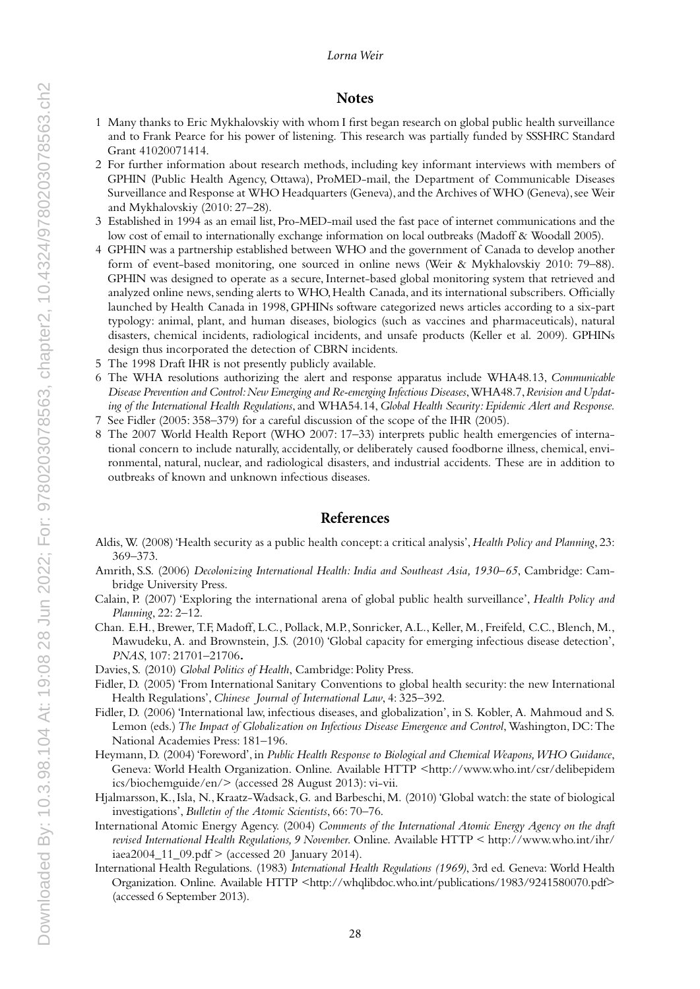#### *Lorna Weir*

## **Notes**

- 1 Many thanks to Eric Mykhalovskiy with whom I first began research on global public health surveillance and to Frank Pearce for his power of listening. This research was partially funded by SSSHRC Standard Grant 41020071414.
- 2 For further information about research methods, including key informant interviews with members of GPHIN (Public Health Agency, Ottawa), ProMED-mail, the Department of Communicable Diseases Surveillance and Response at WHO Headquarters (Geneva), and the Archives of WHO (Geneva), see Weir and Mykhalovskiy (2010: 27–28).
- 3 Established in 1994 as an email list, Pro-MED-mail used the fast pace of internet communications and the low cost of email to internationally exchange information on local outbreaks (Madoff & Woodall 2005).
- 4 GPHIN was a partnership established between WHO and the government of Canada to develop another form of event-based monitoring, one sourced in online news (Weir & Mykhalovskiy 2010: 79–88). GPHIN was designed to operate as a secure, Internet-based global monitoring system that retrieved and analyzed online news, sending alerts to WHO, Health Canada, and its international subscribers. Officially launched by Health Canada in 1998, GPHINs software categorized news articles according to a six-part typology: animal, plant, and human diseases, biologics (such as vaccines and pharmaceuticals), natural disasters, chemical incidents, radiological incidents, and unsafe products (Keller et al. 2009). GPHINs design thus incorporated the detection of CBRN incidents.
- 5 The 1998 Draft IHR is not presently publicly available.
- 6 The WHA resolutions authorizing the alert and response apparatus include WHA48.13, *Communicable Disease Prevention and Control: New Emerging and Re-emerging Infectious Diseases*, WHA48.7, *Revision and Updating of the International Health Regulations*, and WHA54.14, *Global Health Security: Epidemic Alert and Response.*
- 7 See Fidler (2005: 358–379) for a careful discussion of the scope of the IHR (2005).
- 8 The 2007 World Health Report (WHO 2007: 17–33) interprets public health emergencies of international concern to include naturally, accidentally, or deliberately caused foodborne illness, chemical, environmental, natural, nuclear, and radiological disasters, and industrial accidents. These are in addition to outbreaks of known and unknown infectious diseases.

#### **References**

- Aldis, W. (2008) 'Health security as a public health concept: a critical analysis', *Health Policy and Planning*, 23: 369–373.
- Amrith, S.S. (2006) *Decolonizing International Health: India and Southeast Asia, 1930–65*, Cambridge: Cambridge University Press.
- Calain, P. (2007) 'Exploring the international arena of global public health surveillance', *Health Policy and Planning* , 22: 2–12.
- Chan. E.H., Brewer, T.F, Madoff, L.C., Pollack, M.P., Sonricker, A.L., Keller, M., Freifeld, C.C., Blench, M., Mawudeku, A. and Brownstein, J.S. (2010) 'Global capacity for emerging infectious disease detection', *PNAS* , 107: 21701–21706 **.**
- Davies, S. (2010) *Global Politics of Health*, Cambridge: Polity Press.
- Fidler, D. (2005) 'From International Sanitary Conventions to global health security: the new International Health Regulations', *Chinese Journal of International Law* , 4: 325–392.
- Fidler, D. (2006) 'International law, infectious diseases, and globalization', in S. Kobler, A. Mahmoud and S. Lemon (eds.) *The Impact of Globalization on Infectious Disease Emergence and Control*, Washington, DC: The National Academies Press: 181–196.
- Heymann, D. (2004) 'Foreword', in *Public Health Response to Biological and Chemical Weapons, WHO Guidance* , Geneva: World Health Organization. Online. Available HTTP <http://www.who.int/csr/delibepidem ics/biochemguide/en/> (accessed 28 August 2013): vi-vii.
- Hjalmarsson, K., Isla, N., Kraatz-Wadsack, G. and Barbeschi, M. (2010) 'Global watch: the state of biological investigations', *Bulletin of the Atomic Scientists* , 66: 70–76.
- International Atomic Energy Agency. (2004) *Comments of the International Atomic Energy Agency on the draft revised International Health Regulations, 9 November*. Online. Available HTTP < http://www.who.int/ihr/ iaea2004\_11\_09.pdf > (accessed 20 January 2014).
- International Health Regulations. (1983) *International Health Regulations (1969)*, 3rd ed. Geneva: World Health Organization. Online. Available HTTP <http://whqlibdoc.who.int/publications/1983/9241580070.pdf> (accessed 6 September 2013).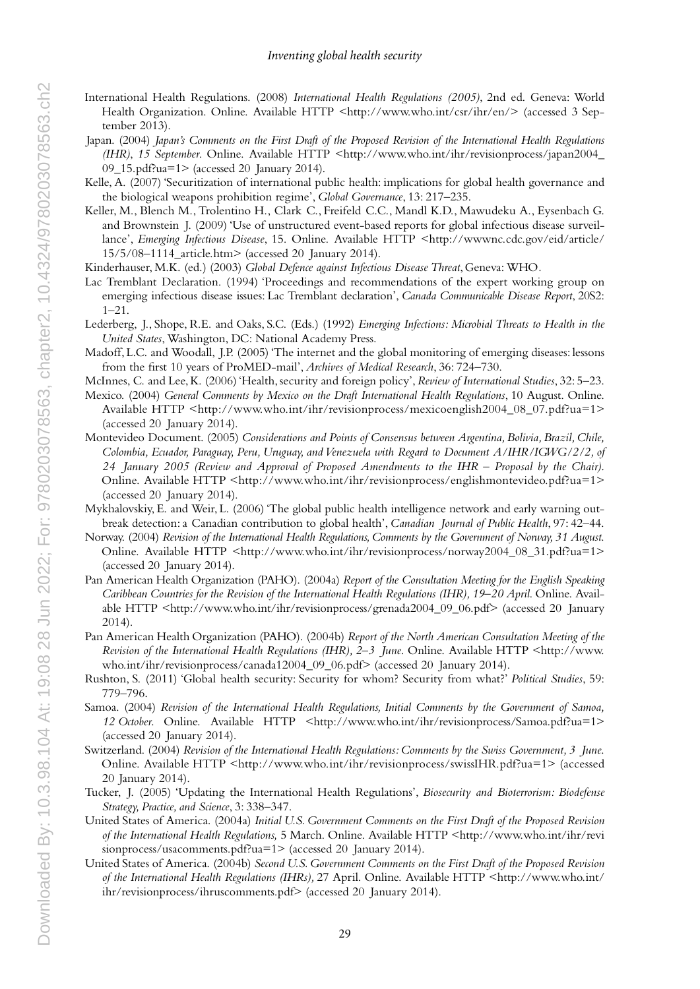- International Health Regulations. (2008) *International Health Regulations (2005)*, 2nd ed. Geneva: World Health Organization. Online. Available HTTP <http://www.who.int/csr/ihr/en/> (accessed 3 September 2013).
- Japan. (2004) *Japan's Comments on the First Draft of the Proposed Revision of the International Health Regulations (IHR)*, 15 September. Online. Available HTTP <http://www.who.int/ihr/revisionprocess/japan2004\_ 09\_15.pdf?ua=1> (accessed 20 January 2014).
- Kelle, A. (2007) 'Securitization of international public health: implications for global health governance and the biological weapons prohibition regime', *Global Governance* , 13: 217–235.
- Keller, M., Blench M., Trolentino H., Clark C., Freifeld C.C., Mandl K.D., Mawudeku A., Eysenbach G. and Brownstein J. (2009) 'Use of unstructured event-based reports for global infectious disease surveillance', *Emerging Infectious Disease*, 15. Online. Available HTTP <http://wwwnc.cdc.gov/eid/article/ 15/5/08–1114\_article.htm> (accessed 20 January 2014).
- Kinderhauser, M.K. (ed.) (2003) *Global Defence against Infectious Disease Threat* , Geneva: WHO *.*
- Lac Tremblant Declaration. (1994) 'Proceedings and recommendations of the expert working group on emerging infectious disease issues: Lac Tremblant declaration', *Canada Communicable Disease Report*, 20S2: 1–21.
- Lederberg, J., Shope, R.E. and Oaks, S.C. (Eds.) (1992) *Emerging Infections: Microbial Threats to Health in the United States* , Washington, DC: National Academy Press.
- Madoff, L.C. and Woodall, J.P. (2005) 'The internet and the global monitoring of emerging diseases: lessons from the first 10 years of ProMED-mail', Archives of Medical Research, 36: 724-730.
- McInnes, C. and Lee, K. (2006) 'Health, security and foreign policy', *Review of International Studies*, 32: 5–23.
- Mexico. (2004) *General Comments by Mexico on the Draft International Health Regulations*, 10 August. Online. Available HTTP <http://www.who.int/ihr/revisionprocess/mexicoenglish2004\_08\_07.pdf?ua=1> (accessed 20 January 2014).
- Montevideo Document. (2005) *Considerations and Points of Consensus between Argentina, Bolivia, Brazil, Chile, Colombia, Ecuador, Paraguay, Peru, Uruguay, and Venezuela with Regard to Document A/IHR/IGWG/2/2, of 24 January 2005 (Review and Approval of Proposed Amendments to the IHR – Proposal by the Chair)* . Online. Available HTTP <http://www.who.int/ihr/revisionprocess/englishmontevideo.pdf?ua=1> (accessed 20 January 2014).
- Mykhalovskiy, E. and Weir, L. (2006) 'The global public health intelligence network and early warning outbreak detection: a Canadian contribution to global health', *Canadian Journal of Public Health*, 97: 42–44.
- Norway. (2004) *Revision of the International Health Regulations, Comments by the Government of Norway, 31 August* . Online. Available HTTP <http://www.who.int/ihr/revisionprocess/norway2004\_08\_31.pdf?ua=1> (accessed 20 January 2014).
- Pan American Health Organization (PAHO). (2004a) *Report of the Consultation Meeting for the English Speaking Caribbean Countries for the Revision of the International Health Regulations (IHR), 19–20 April*. Online. Available HTTP <http://www.who.int/ihr/revisionprocess/grenada2004\_09\_06.pdf> (accessed 20 January 2014).
- Pan American Health Organization (PAHO). (2004b) *Report of the North American Consultation Meeting of the Revision of the International Health Regulations (IHR), 2–3 June*. Online. Available HTTP <http://www. who.int/ihr/revisionprocess/canada12004\_09\_06.pdf> (accessed 20 January 2014).
- Rushton, S. (2011) 'Global health security: Security for whom? Security from what?' *Political Studies*, 59: 779–796.
- Samoa. (2004) *Revision of the International Health Regulations, Initial Comments by the Government of Samoa,*  12 October. Online. Available HTTP <http://www.who.int/ihr/revisionprocess/Samoa.pdf?ua=1> (accessed 20 January 2014).
- Switzerland. (2004) *Revision of the International Health Regulations: Comments by the Swiss Government, 3 June* . Online. Available HTTP <http://www.who.int/ihr/revisionprocess/swissIHR.pdf?ua=1> (accessed 20 January 2014).
- Tucker, J. (2005) 'Updating the International Health Regulations', *Biosecurity and Bioterrorism: Biodefense Strategy, Practice, and Science* , 3: 338–347.
- United States of America. (2004a) *Initial U.S. Government Comments on the First Draft of the Proposed Revision of the International Health Regulations,* 5 March . Online. Available HTTP <http://www.who.int/ihr/revi sionprocess/usacomments.pdf?ua=1> (accessed 20 January 2014).
- United States of America. (2004b) *Second U.S. Government Comments on the First Draft of the Proposed Revision of the International Health Regulations (IHRs),* 27 April . Online. Available HTTP <http://www.who.int/ ihr/revisionprocess/ihruscomments.pdf> (accessed 20 January 2014).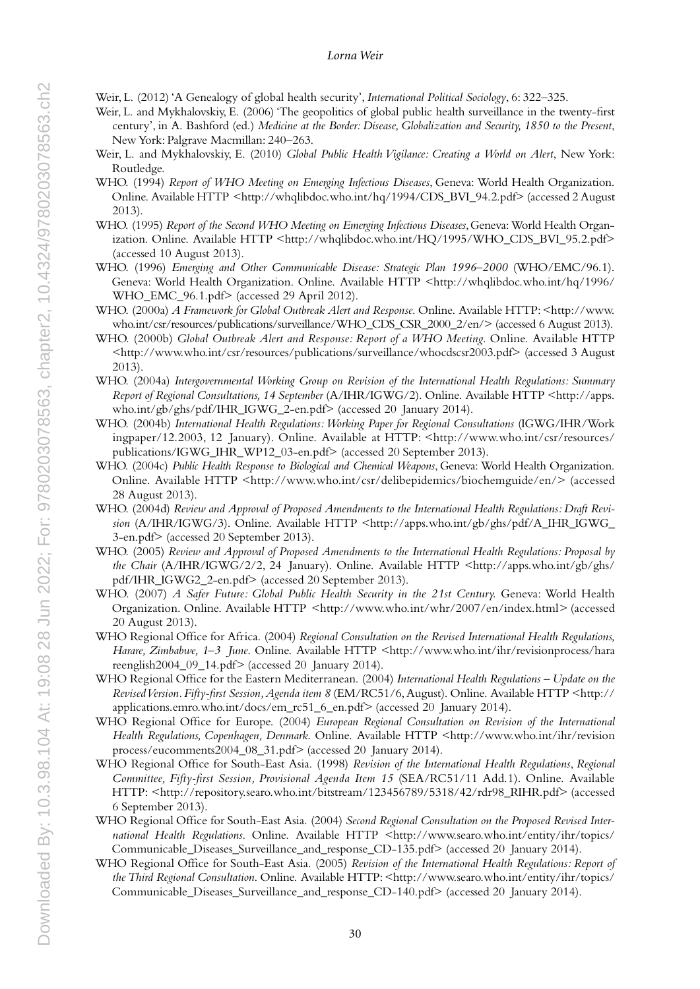Weir, L. (2012) 'A Genealogy of global health security', *International Political Sociology* , 6: 322–325.

- Weir, L. and Mykhalovskiy, E. (2006) 'The geopolitics of global public health surveillance in the twenty-first century', in A. Bashford (ed.) *Medicine at the Border: Disease, Globalization and Security, 1850 to the Present*, New York: Palgrave Macmillan: 240–263.
- Weir, L. and Mykhalovskiy, E. (2010) *Global Public Health Vigilance: Creating a World on Alert*, New York: Routledge.
- WHO. (1994) *Report of WHO Meeting on Emerging Infectious Diseases*, Geneva: World Health Organization. Online. Available HTTP <http://whqlibdoc.who.int/hq/1994/CDS\_BVI\_94.2.pdf> (accessed 2 August 2013).
- WHO. (1995) *Report of the Second WHO Meeting on Emerging Infectious Diseases*, Geneva: World Health Organization. Online. Available HTTP <http://whqlibdoc.who.int/HQ/1995/WHO\_CDS\_BVI\_95.2.pdf> (accessed 10 August 2013).
- WHO. (1996) *Emerging and Other Communicable Disease: Strategic Plan 1996–2000* (WHO/EMC/96.1). Geneva: World Health Organization. Online. Available HTTP <http://whqlibdoc.who.int/hq/1996/ WHO\_EMC\_96.1.pdf> (accessed 29 April 2012).
- WHO. (2000a) *A Framework for Global Outbreak Alert and Response*. Online. Available HTTP: <http://www. who.int/csr/resources/publications/surveillance/WHO\_CDS\_CSR\_2000\_2/en/> (accessed 6 August 2013).
- WHO. (2000b) *Global Outbreak Alert and Response: Report of a WHO Meeting*. Online. Available HTTP <http://www.who.int/csr/resources/publications/surveillance/whocdscsr2003.pdf> (accessed 3 August 2013).
- WHO. (2004a) *Intergovernmental Working Group on Revision of the International Health Regulations: Summary Report of Regional Consultations, 14 September* (A/IHR/IGWG/2). Online. Available HTTP <http://apps. who.int/gb/ghs/pdf/IHR\_IGWG\_2-en.pdf> (accessed 20 January 2014).
- WHO. (2004b) *International Health Regulations: Working Paper for Regional Consultations* (IGWG/IHR/Work ingpaper/12.2003, 12 January). Online. Available at HTTP: <http://www.who.int/csr/resources/ publications/IGWG\_IHR\_WP12\_03-en.pdf> (accessed 20 September 2013).
- WHO. (2004c) *Public Health Response to Biological and Chemical Weapons*, Geneva: World Health Organization. Online. Available HTTP <http://www.who.int/csr/delibepidemics/biochemguide/en/> (accessed 28 August 2013).
- WHO. (2004d) *Review and Approval of Proposed Amendments to the International Health Regulations: Draft Revi*sion (A/IHR/IGWG/3). Online. Available HTTP <http://apps.who.int/gb/ghs/pdf/A\_IHR\_IGWG\_ 3-en.pdf> (accessed 20 September 2013).
- WHO. (2005) *Review and Approval of Proposed Amendments to the International Health Regulations: Proposal by the Chair* (A/IHR/IGWG/2/2, 24 January). Online. Available HTTP <http://apps.who.int/gb/ghs/ pdf/IHR\_IGWG2\_2-en.pdf> (accessed 20 September 2013).
- WHO. (2007) *A Safer Future: Global Public Health Security in the 21st Century.* Geneva: World Health Organization. Online. Available HTTP <http://www.who.int/whr/2007/en/index.html *>* (accessed 20 August 2013).
- WHO Regional Office for Africa. (2004) *Regional Consultation on the Revised International Health Regulations, Harare, Zimbabwe, 1–3 June*. Online. Available HTTP <http://www.who.int/ihr/revisionprocess/hara reenglish2004\_09\_14.pdf *>* (accessed 20 January 2014).
- WHO Regional Office for the Eastern Mediterranean. (2004) *International Health Regulations Update on the Revised Version. Fifty-first Session, Agenda item 8* (EM/RC51/6, August). Online. Available HTTP <http:// applications.emro.who.int/docs/em\_rc51\_6\_en.pdf *>* (accessed 20 January 2014).
- WHO Regional Office for Europe. (2004) *European Regional Consultation on Revision of the International Health Regulations, Copenhagen, Denmark*. Online. Available HTTP <http://www.who.int/ihr/revision process/eucomments2004\_08\_31.pdf *>* (accessed 20 January 2014).
- WHO Regional Office for South-East Asia. (1998) *Revision of the International Health Regulations*, *Regional Committee, Fifty-first Session, Provisional Agenda Item 15* (SEA/RC51/11 Add.1). Online. Available HTTP: <http://repository.searo.who.int/bitstream/123456789/5318/42/rdr98\_RIHR.pdf> (accessed 6 September 2013).
- WHO Regional Office for South-East Asia. (2004) *Second Regional Consultation on the Proposed Revised International Health Regulations*. Online. Available HTTP <http://www.searo.who.int/entity/ihr/topics/ Communicable\_Diseases\_Surveillance\_and\_response\_CD-135.pdf> (accessed 20 January 2014).
- WHO Regional Office for South-East Asia. (2005) *Revision of the International Health Regulations: Report of the Third Regional Consultation*. Online. Available HTTP: <http://www.searo.who.int/entity/ihr/topics/ Communicable\_Diseases\_Surveillance\_and\_response\_CD-140.pdf> (accessed 20 January 2014).